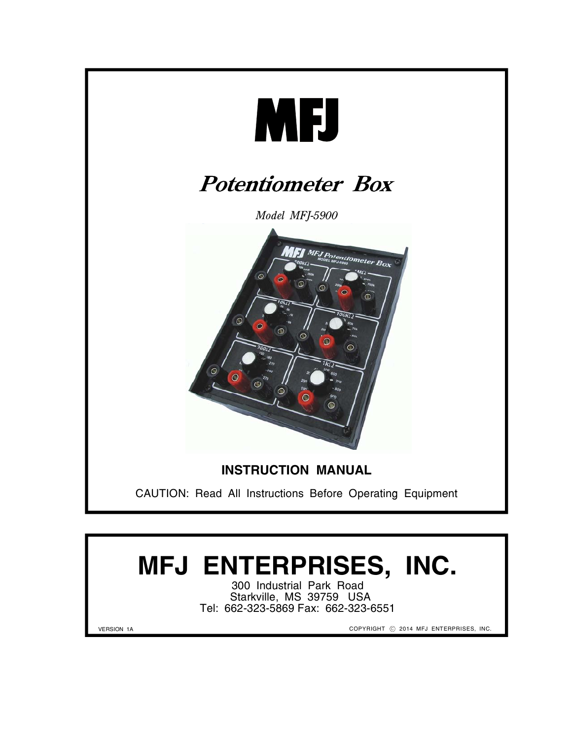

# **MFJ ENTERPRISES, INC.**

300 Industrial Park Road Starkville, MS 39759 USA Tel: 662-323-5869 Fax: 662-323-6551

VERSION 1A

COPYRIGHT © 2014 MFJ ENTERPRISES, INC.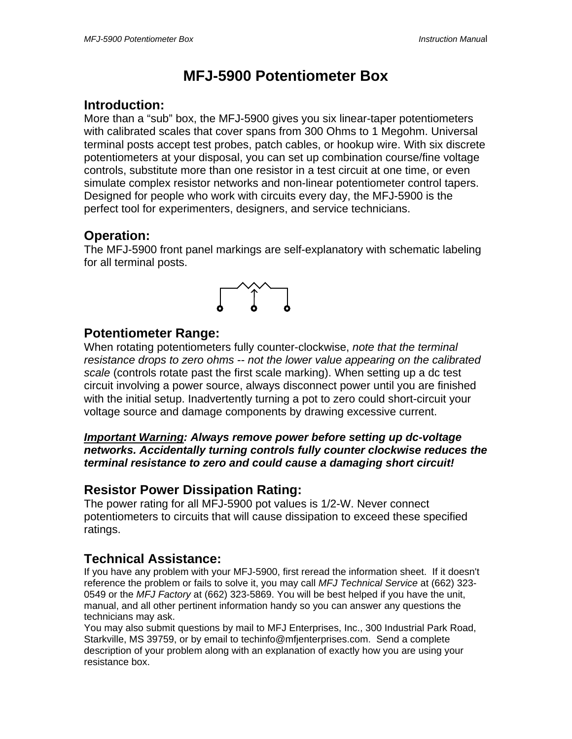## **MFJ-5900 Potentiometer Box**

### **Introduction:**

More than a "sub" box, the MFJ-5900 gives you six linear-taper potentiometers with calibrated scales that cover spans from 300 Ohms to 1 Megohm. Universal terminal posts accept test probes, patch cables, or hookup wire. With six discrete potentiometers at your disposal, you can set up combination course/fine voltage controls, substitute more than one resistor in a test circuit at one time, or even simulate complex resistor networks and non-linear potentiometer control tapers. Designed for people who work with circuits every day, the MFJ-5900 is the perfect tool for experimenters, designers, and service technicians.

## **Operation:**

The MFJ-5900 front panel markings are self-explanatory with schematic labeling for all terminal posts.



## **Potentiometer Range:**

When rotating potentiometers fully counter-clockwise, *note that the terminal resistance drops to zero ohms* -- *not the lower value appearing on the calibrated scale* (controls rotate past the first scale marking). When setting up a dc test circuit involving a power source, always disconnect power until you are finished with the initial setup. Inadvertently turning a pot to zero could short-circuit your voltage source and damage components by drawing excessive current.

#### *Important Warning: Always remove power before setting up dc-voltage networks. Accidentally turning controls fully counter clockwise reduces the terminal resistance to zero and could cause a damaging short circuit!*

## **Resistor Power Dissipation Rating:**

The power rating for all MFJ-5900 pot values is 1/2-W. Never connect potentiometers to circuits that will cause dissipation to exceed these specified ratings.

## **Technical Assistance:**

If you have any problem with your MFJ-5900, first reread the information sheet. If it doesn't reference the problem or fails to solve it, you may call *MFJ Technical Service* at (662) 323- 0549 or the *MFJ Factory* at (662) 323-5869. You will be best helped if you have the unit, manual, and all other pertinent information handy so you can answer any questions the technicians may ask.

You may also submit questions by mail to MFJ Enterprises, Inc., 300 Industrial Park Road, Starkville, MS 39759, or by email to techinfo@mfjenterprises.com. Send a complete description of your problem along with an explanation of exactly how you are using your resistance box.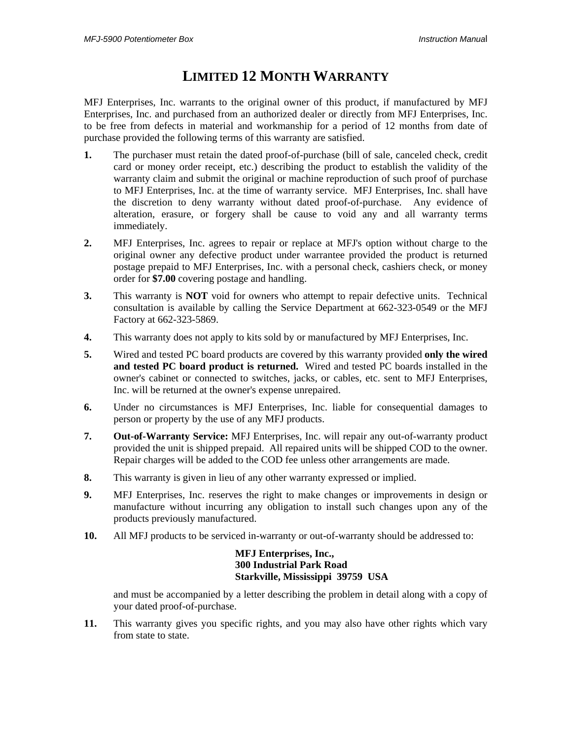## **LIMITED 12 MONTH WARRANTY**

MFJ Enterprises, Inc. warrants to the original owner of this product, if manufactured by MFJ Enterprises, Inc. and purchased from an authorized dealer or directly from MFJ Enterprises, Inc. to be free from defects in material and workmanship for a period of 12 months from date of purchase provided the following terms of this warranty are satisfied.

- **1.** The purchaser must retain the dated proof-of-purchase (bill of sale, canceled check, credit card or money order receipt, etc.) describing the product to establish the validity of the warranty claim and submit the original or machine reproduction of such proof of purchase to MFJ Enterprises, Inc. at the time of warranty service. MFJ Enterprises, Inc. shall have the discretion to deny warranty without dated proof-of-purchase. Any evidence of alteration, erasure, or forgery shall be cause to void any and all warranty terms immediately.
- **2.** MFJ Enterprises, Inc. agrees to repair or replace at MFJ's option without charge to the original owner any defective product under warrantee provided the product is returned postage prepaid to MFJ Enterprises, Inc. with a personal check, cashiers check, or money order for **\$7.00** covering postage and handling.
- **3.** This warranty is **NOT** void for owners who attempt to repair defective units. Technical consultation is available by calling the Service Department at 662-323-0549 or the MFJ Factory at 662-323-5869.
- **4.** This warranty does not apply to kits sold by or manufactured by MFJ Enterprises, Inc.
- **5.** Wired and tested PC board products are covered by this warranty provided **only the wired and tested PC board product is returned.** Wired and tested PC boards installed in the owner's cabinet or connected to switches, jacks, or cables, etc. sent to MFJ Enterprises, Inc. will be returned at the owner's expense unrepaired.
- **6.** Under no circumstances is MFJ Enterprises, Inc. liable for consequential damages to person or property by the use of any MFJ products.
- **7. Out-of-Warranty Service:** MFJ Enterprises, Inc. will repair any out-of-warranty product provided the unit is shipped prepaid. All repaired units will be shipped COD to the owner. Repair charges will be added to the COD fee unless other arrangements are made.
- **8.** This warranty is given in lieu of any other warranty expressed or implied.
- **9.** MFJ Enterprises, Inc. reserves the right to make changes or improvements in design or manufacture without incurring any obligation to install such changes upon any of the products previously manufactured.
- **10.** All MFJ products to be serviced in-warranty or out-of-warranty should be addressed to:

#### **MFJ Enterprises, Inc., 300 Industrial Park Road Starkville, Mississippi 39759 USA**

and must be accompanied by a letter describing the problem in detail along with a copy of your dated proof-of-purchase.

**11.** This warranty gives you specific rights, and you may also have other rights which vary from state to state.